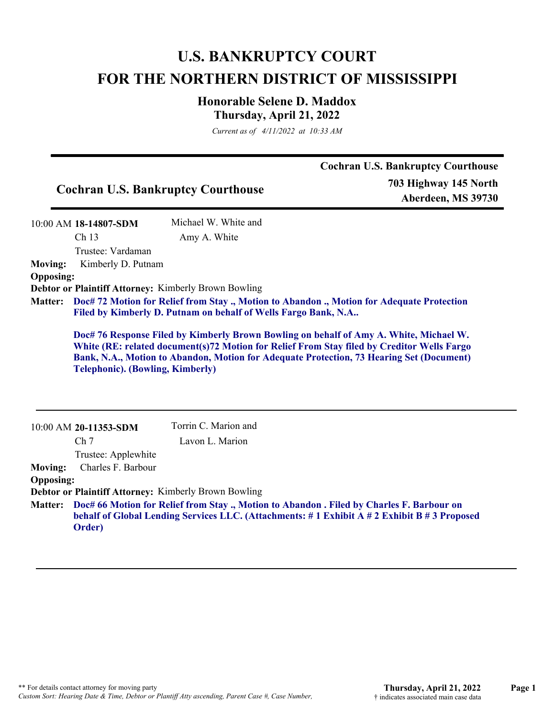## **U.S. BANKRUPTCY COURT FOR THE NORTHERN DISTRICT OF MISSISSIPPI**

## **Honorable Selene D. Maddox Thursday, April 21, 2022**

*Current as of 4/11/2022 at 10:33 AM*

|                                    |                                         | <b>Cochran U.S. Bankruptcy Courthouse</b><br>703 Highway 145 North<br><b>Cochran U.S. Bankruptcy Courthouse</b><br>Aberdeen, MS 39730                                                                                                                                            |  |
|------------------------------------|-----------------------------------------|----------------------------------------------------------------------------------------------------------------------------------------------------------------------------------------------------------------------------------------------------------------------------------|--|
|                                    | 10:00 AM 18-14807-SDM                   | Michael W. White and                                                                                                                                                                                                                                                             |  |
|                                    | Ch 13<br>Trustee: Vardaman              | Amy A. White                                                                                                                                                                                                                                                                     |  |
| <b>Moving:</b><br><b>Opposing:</b> | Kimberly D. Putnam                      |                                                                                                                                                                                                                                                                                  |  |
|                                    |                                         | Debtor or Plaintiff Attorney: Kimberly Brown Bowling                                                                                                                                                                                                                             |  |
| <b>Matter:</b>                     |                                         | Doc# 72 Motion for Relief from Stay., Motion to Abandon., Motion for Adequate Protection<br>Filed by Kimberly D. Putnam on behalf of Wells Fargo Bank, N.A                                                                                                                       |  |
|                                    | <b>Telephonic). (Bowling, Kimberly)</b> | Doc# 76 Response Filed by Kimberly Brown Bowling on behalf of Amy A. White, Michael W.<br>White (RE: related document(s)72 Motion for Relief From Stay filed by Creditor Wells Fargo<br>Bank, N.A., Motion to Abandon, Motion for Adequate Protection, 73 Hearing Set (Document) |  |
|                                    | 10:00 AM 20-11353-SDM                   | Torrin C. Marion and                                                                                                                                                                                                                                                             |  |
|                                    | Ch <sub>7</sub>                         | Lavon L. Marion                                                                                                                                                                                                                                                                  |  |
|                                    | Trustee: Applewhite                     |                                                                                                                                                                                                                                                                                  |  |
| <b>Moving:</b>                     | Charles F. Barbour                      |                                                                                                                                                                                                                                                                                  |  |
| <b>Opposing:</b>                   |                                         |                                                                                                                                                                                                                                                                                  |  |
|                                    |                                         | Debtor or Plaintiff Attorney: Kimberly Brown Bowling                                                                                                                                                                                                                             |  |
| <b>Matter:</b>                     |                                         | Doc# 66 Motion for Relief from Stay ., Motion to Abandon . Filed by Charles F. Barbour on<br>behalf of Global Lending Services LLC. (Attachments: #1 Exhibit A #2 Exhibit B #3 Proposed                                                                                          |  |

**Order)**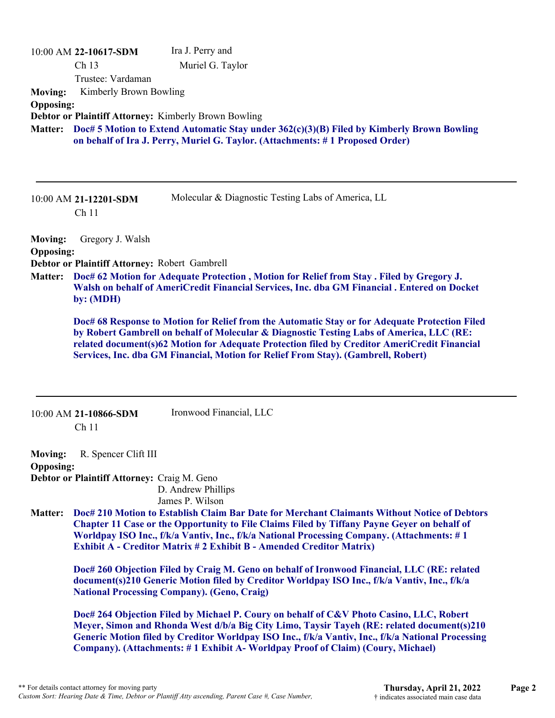|                  | 10:00 AM 22-10617-SDM                         | Ira J. Perry and                                                                               |
|------------------|-----------------------------------------------|------------------------------------------------------------------------------------------------|
|                  | Ch 13                                         | Muriel G. Taylor                                                                               |
|                  | Trustee: Vardaman                             |                                                                                                |
| <b>Moving:</b>   | Kimberly Brown Bowling                        |                                                                                                |
| <b>Opposing:</b> |                                               |                                                                                                |
|                  |                                               | Debtor or Plaintiff Attorney: Kimberly Brown Bowling                                           |
| <b>Matter:</b>   |                                               | Doc# 5 Motion to Extend Automatic Stay under 362(c)(3)(B) Filed by Kimberly Brown Bowling      |
|                  |                                               | on behalf of Ira J. Perry, Muriel G. Taylor. (Attachments: #1 Proposed Order)                  |
|                  |                                               |                                                                                                |
|                  |                                               |                                                                                                |
|                  |                                               |                                                                                                |
|                  | 10:00 AM 21-12201-SDM                         | Molecular & Diagnostic Testing Labs of America, LL                                             |
|                  | Ch <sub>11</sub>                              |                                                                                                |
|                  |                                               |                                                                                                |
| <b>Moving:</b>   | Gregory J. Walsh                              |                                                                                                |
| <b>Opposing:</b> |                                               |                                                                                                |
|                  | Debtor or Plaintiff Attorney: Robert Gambrell |                                                                                                |
| <b>Matter:</b>   |                                               | Doc# 62 Motion for Adequate Protection, Motion for Relief from Stay. Filed by Gregory J.       |
|                  | by: (MDH)                                     | Walsh on behalf of AmeriCredit Financial Services, Inc. dba GM Financial . Entered on Docket   |
|                  |                                               |                                                                                                |
|                  |                                               | Doc# 68 Response to Motion for Relief from the Automatic Stay or for Adequate Protection Filed |
|                  |                                               | by Robert Gambrell on behalf of Molecular & Diagnostic Testing Labs of America, LLC (RE:       |
|                  |                                               | related document(s)62 Motion for Adequate Protection filed by Creditor AmeriCredit Financial   |

**Services, Inc. dba GM Financial, Motion for Relief From Stay). (Gambrell, Robert)**

| 10:00 AM 21-10866-SDM | Ironwood Financial, LLC |
|-----------------------|-------------------------|
| Ch <sub>11</sub>      |                         |

**Moving:** R. Spencer Clift III **Opposing: Debtor or Plaintiff Attorney:** Craig M. Geno

D. Andrew Phillips James P. Wilson

**Doc# 210 Motion to Establish Claim Bar Date for Merchant Claimants Without Notice of Debtors Matter: Chapter 11 Case or the Opportunity to File Claims Filed by Tiffany Payne Geyer on behalf of Worldpay ISO Inc., f/k/a Vantiv, Inc., f/k/a National Processing Company. (Attachments: # 1 Exhibit A - Creditor Matrix # 2 Exhibit B - Amended Creditor Matrix)**

**Doc# 260 Objection Filed by Craig M. Geno on behalf of Ironwood Financial, LLC (RE: related document(s)210 Generic Motion filed by Creditor Worldpay ISO Inc., f/k/a Vantiv, Inc., f/k/a National Processing Company). (Geno, Craig)**

**Doc# 264 Objection Filed by Michael P. Coury on behalf of C&V Photo Casino, LLC, Robert Meyer, Simon and Rhonda West d/b/a Big City Limo, Taysir Tayeh (RE: related document(s)210 Generic Motion filed by Creditor Worldpay ISO Inc., f/k/a Vantiv, Inc., f/k/a National Processing Company). (Attachments: # 1 Exhibit A- Worldpay Proof of Claim) (Coury, Michael)**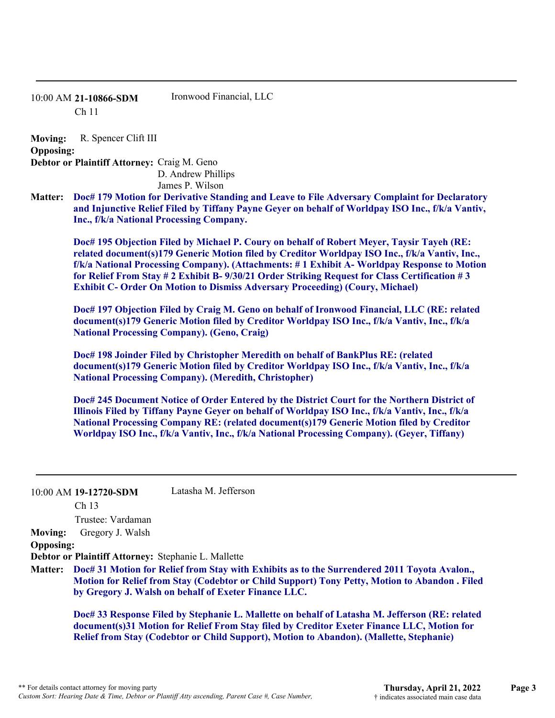## 10:00 AM **21-10866-SDM**  Ch 11 Ironwood Financial, LLC

**Moving:** R. Spencer Clift III **Opposing: Debtor or Plaintiff Attorney:** Craig M. Geno D. Andrew Phillips James P. Wilson

**Doc# 179 Motion for Derivative Standing and Leave to File Adversary Complaint for Declaratory Matter: and Injunctive Relief Filed by Tiffany Payne Geyer on behalf of Worldpay ISO Inc., f/k/a Vantiv, Inc., f/k/a National Processing Company.**

**Doc# 195 Objection Filed by Michael P. Coury on behalf of Robert Meyer, Taysir Tayeh (RE: related document(s)179 Generic Motion filed by Creditor Worldpay ISO Inc., f/k/a Vantiv, Inc., f/k/a National Processing Company). (Attachments: # 1 Exhibit A- Worldpay Response to Motion for Relief From Stay # 2 Exhibit B- 9/30/21 Order Striking Request for Class Certification # 3 Exhibit C- Order On Motion to Dismiss Adversary Proceeding) (Coury, Michael)**

**Doc# 197 Objection Filed by Craig M. Geno on behalf of Ironwood Financial, LLC (RE: related document(s)179 Generic Motion filed by Creditor Worldpay ISO Inc., f/k/a Vantiv, Inc., f/k/a National Processing Company). (Geno, Craig)**

**Doc# 198 Joinder Filed by Christopher Meredith on behalf of BankPlus RE: (related document(s)179 Generic Motion filed by Creditor Worldpay ISO Inc., f/k/a Vantiv, Inc., f/k/a National Processing Company). (Meredith, Christopher)**

**Doc# 245 Document Notice of Order Entered by the District Court for the Northern District of Illinois Filed by Tiffany Payne Geyer on behalf of Worldpay ISO Inc., f/k/a Vantiv, Inc., f/k/a National Processing Company RE: (related document(s)179 Generic Motion filed by Creditor Worldpay ISO Inc., f/k/a Vantiv, Inc., f/k/a National Processing Company). (Geyer, Tiffany)**

10:00 AM **19-12720-SDM**  Latasha M. Jefferson

Ch 13

Trustee: Vardaman

## **Moving:** Gregory J. Walsh **Opposing:**

**Debtor or Plaintiff Attorney:** Stephanie L. Mallette

**Doc# 31 Motion for Relief from Stay with Exhibits as to the Surrendered 2011 Toyota Avalon., Matter: Motion for Relief from Stay (Codebtor or Child Support) Tony Petty, Motion to Abandon . Filed by Gregory J. Walsh on behalf of Exeter Finance LLC.**

**Doc# 33 Response Filed by Stephanie L. Mallette on behalf of Latasha M. Jefferson (RE: related document(s)31 Motion for Relief From Stay filed by Creditor Exeter Finance LLC, Motion for Relief from Stay (Codebtor or Child Support), Motion to Abandon). (Mallette, Stephanie)**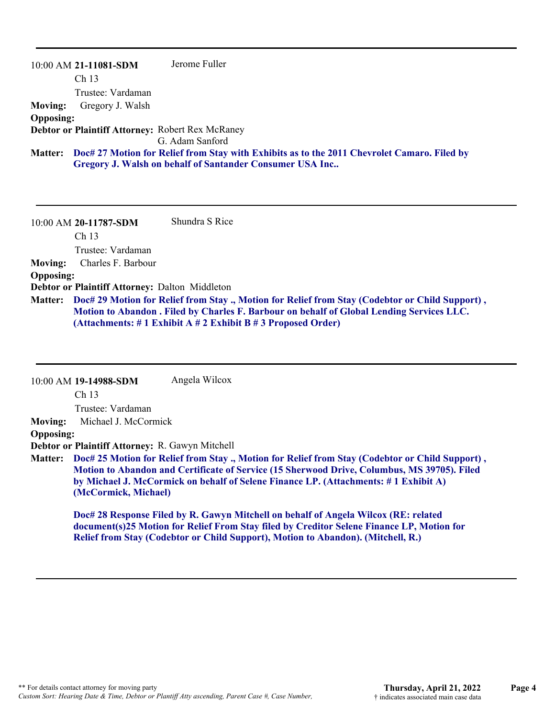|                  | 10:00 AM 21-11081-SDM                            | Jerome Fuller                                                                                       |
|------------------|--------------------------------------------------|-----------------------------------------------------------------------------------------------------|
|                  | Ch <sub>13</sub>                                 |                                                                                                     |
|                  | Trustee: Vardaman                                |                                                                                                     |
| <b>Moving:</b>   | Gregory J. Walsh                                 |                                                                                                     |
| <b>Opposing:</b> |                                                  |                                                                                                     |
|                  | Debtor or Plaintiff Attorney: Robert Rex McRaney |                                                                                                     |
|                  |                                                  | G. Adam Sanford                                                                                     |
|                  |                                                  | Matter: Doc# 27 Motion for Relief from Stay with Exhibits as to the 2011 Chevrolet Camaro. Filed by |
|                  |                                                  | Gregory J. Walsh on behalf of Santander Consumer USA Inc                                            |

10:00 AM **20-11787-SDM**  Ch 13 Trustee: Vardaman Shundra S Rice **Moving:** Charles F. Barbour **Opposing: Debtor or Plaintiff Attorney:** Dalton Middleton **Doc# 29 Motion for Relief from Stay ., Motion for Relief from Stay (Codebtor or Child Support) , Matter: Motion to Abandon . Filed by Charles F. Barbour on behalf of Global Lending Services LLC. (Attachments: # 1 Exhibit A # 2 Exhibit B # 3 Proposed Order)**

|                  | 10:00 AM 19-14988-SDM                                                                                                                                                                                                                                                                                         | Angela Wilcox                                                                       |  |
|------------------|---------------------------------------------------------------------------------------------------------------------------------------------------------------------------------------------------------------------------------------------------------------------------------------------------------------|-------------------------------------------------------------------------------------|--|
|                  | Ch <sub>13</sub>                                                                                                                                                                                                                                                                                              |                                                                                     |  |
|                  | Trustee: Vardaman                                                                                                                                                                                                                                                                                             |                                                                                     |  |
| <b>Moving:</b>   | Michael J. McCormick                                                                                                                                                                                                                                                                                          |                                                                                     |  |
| <b>Opposing:</b> |                                                                                                                                                                                                                                                                                                               |                                                                                     |  |
|                  | Debtor or Plaintiff Attorney: R. Gawyn Mitchell                                                                                                                                                                                                                                                               |                                                                                     |  |
| <b>Matter:</b>   | Doc# 25 Motion for Relief from Stay ., Motion for Relief from Stay (Codebtor or Child Support),<br>Motion to Abandon and Certificate of Service (15 Sherwood Drive, Columbus, MS 39705). Filed<br>by Michael J. McCormick on behalf of Selene Finance LP. (Attachments: #1 Exhibit A)<br>(McCormick, Michael) |                                                                                     |  |
|                  |                                                                                                                                                                                                                                                                                                               | Doc# 28 Response Filed by R. Gawyn Mitchell on behalf of Angela Wilcox (RE: related |  |

**document(s)25 Motion for Relief From Stay filed by Creditor Selene Finance LP, Motion for Relief from Stay (Codebtor or Child Support), Motion to Abandon). (Mitchell, R.)**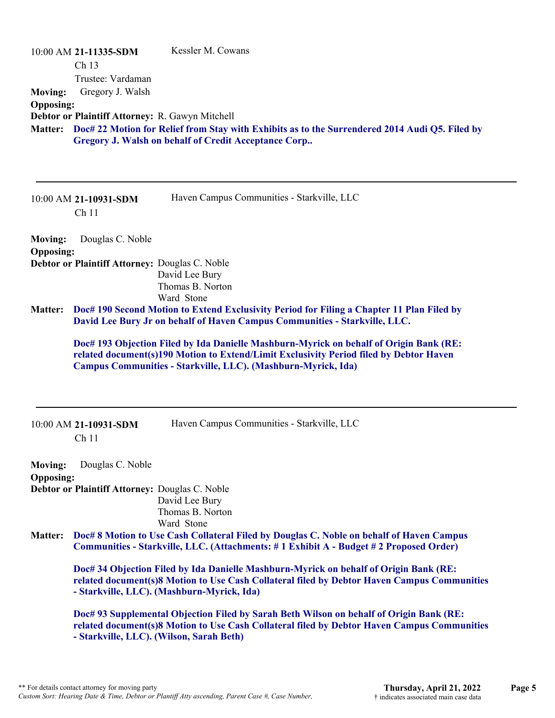| <b>Moving:</b><br><b>Opposing:</b><br><b>Matter:</b> | 10:00 AM 21-11335-SDM<br>Ch <sub>13</sub><br>Trustee: Vardaman<br>Gregory J. Walsh<br>Debtor or Plaintiff Attorney: R. Gawyn Mitchell | Kessler M. Cowans<br>Doc# 22 Motion for Relief from Stay with Exhibits as to the Surrendered 2014 Audi Q5. Filed by<br>Gregory J. Walsh on behalf of Credit Acceptance Corp                                                                       |
|------------------------------------------------------|---------------------------------------------------------------------------------------------------------------------------------------|---------------------------------------------------------------------------------------------------------------------------------------------------------------------------------------------------------------------------------------------------|
|                                                      | 10:00 AM 21-10931-SDM<br>Ch <sub>11</sub>                                                                                             | Haven Campus Communities - Starkville, LLC                                                                                                                                                                                                        |
| <b>Moving:</b>                                       | Douglas C. Noble                                                                                                                      |                                                                                                                                                                                                                                                   |
| <b>Opposing:</b>                                     | Debtor or Plaintiff Attorney: Douglas C. Noble                                                                                        |                                                                                                                                                                                                                                                   |
|                                                      |                                                                                                                                       | David Lee Bury<br>Thomas B. Norton                                                                                                                                                                                                                |
|                                                      |                                                                                                                                       | Ward Stone                                                                                                                                                                                                                                        |
| <b>Matter:</b>                                       |                                                                                                                                       | Doc# 190 Second Motion to Extend Exclusivity Period for Filing a Chapter 11 Plan Filed by<br>David Lee Bury Jr on behalf of Haven Campus Communities - Starkville, LLC.                                                                           |
|                                                      |                                                                                                                                       | Doc# 193 Objection Filed by Ida Danielle Mashburn-Myrick on behalf of Origin Bank (RE:<br>related document(s)190 Motion to Extend/Limit Exclusivity Period filed by Debtor Haven<br>Campus Communities - Starkville, LLC). (Mashburn-Myrick, Ida) |
|                                                      | 10:00 AM 21-10931-SDM<br>Ch <sub>11</sub>                                                                                             | Haven Campus Communities - Starkville, LLC                                                                                                                                                                                                        |
| <b>Moving:</b>                                       | Douglas C. Noble                                                                                                                      |                                                                                                                                                                                                                                                   |
| <b>Opposing:</b>                                     |                                                                                                                                       |                                                                                                                                                                                                                                                   |
|                                                      | Debtor or Plaintiff Attorney: Douglas C. Noble                                                                                        | David Lee Bury                                                                                                                                                                                                                                    |
|                                                      |                                                                                                                                       | Thomas B. Norton                                                                                                                                                                                                                                  |
| <b>Matter:</b>                                       |                                                                                                                                       | Ward Stone<br>Doc# 8 Motion to Use Cash Collateral Filed by Douglas C. Noble on behalf of Haven Campus<br>Communities - Starkville, LLC. (Attachments: #1 Exhibit A - Budget #2 Proposed Order)                                                   |
|                                                      |                                                                                                                                       | Doc# 34 Objection Filed by Ida Danielle Mashburn-Myrick on behalf of Origin Bank (RE:<br>related document(s)8 Motion to Use Cash Collateral filed by Debtor Haven Campus Communities<br>- Starkville, LLC). (Mashburn-Myrick, Ida)                |
|                                                      |                                                                                                                                       | Doc# 93 Supplemental Objection Filed by Sarah Beth Wilson on behalf of Origin Bank (RE:<br>related document(s)8 Motion to Use Cash Collateral filed by Debtor Haven Campus Communities                                                            |

**- Starkville, LLC). (Wilson, Sarah Beth)**